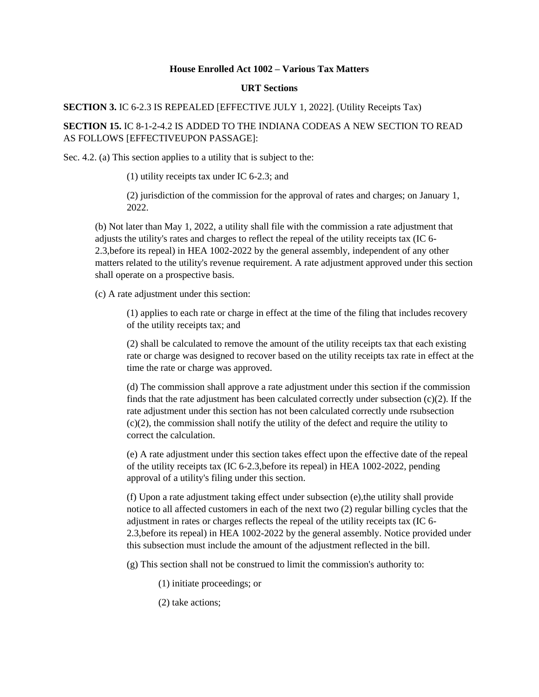## **House Enrolled Act 1002 – Various Tax Matters**

## **URT Sections**

**SECTION 3.** IC 6-2.3 IS REPEALED [EFFECTIVE JULY 1, 2022]. (Utility Receipts Tax)

**SECTION 15.** IC 8-1-2-4.2 IS ADDED TO THE INDIANA CODEAS A NEW SECTION TO READ AS FOLLOWS [EFFECTIVEUPON PASSAGE]:

Sec. 4.2. (a) This section applies to a utility that is subject to the:

(1) utility receipts tax under IC 6-2.3; and

(2) jurisdiction of the commission for the approval of rates and charges; on January 1, 2022.

(b) Not later than May 1, 2022, a utility shall file with the commission a rate adjustment that adjusts the utility's rates and charges to reflect the repeal of the utility receipts tax (IC 6- 2.3,before its repeal) in HEA 1002-2022 by the general assembly, independent of any other matters related to the utility's revenue requirement. A rate adjustment approved under this section shall operate on a prospective basis.

(c) A rate adjustment under this section:

(1) applies to each rate or charge in effect at the time of the filing that includes recovery of the utility receipts tax; and

(2) shall be calculated to remove the amount of the utility receipts tax that each existing rate or charge was designed to recover based on the utility receipts tax rate in effect at the time the rate or charge was approved.

(d) The commission shall approve a rate adjustment under this section if the commission finds that the rate adjustment has been calculated correctly under subsection  $(c)(2)$ . If the rate adjustment under this section has not been calculated correctly unde rsubsection (c)(2), the commission shall notify the utility of the defect and require the utility to correct the calculation.

(e) A rate adjustment under this section takes effect upon the effective date of the repeal of the utility receipts tax (IC 6-2.3,before its repeal) in HEA 1002-2022, pending approval of a utility's filing under this section.

(f) Upon a rate adjustment taking effect under subsection (e),the utility shall provide notice to all affected customers in each of the next two (2) regular billing cycles that the adjustment in rates or charges reflects the repeal of the utility receipts tax (IC 6- 2.3,before its repeal) in HEA 1002-2022 by the general assembly. Notice provided under this subsection must include the amount of the adjustment reflected in the bill.

(g) This section shall not be construed to limit the commission's authority to:

(1) initiate proceedings; or

(2) take actions;